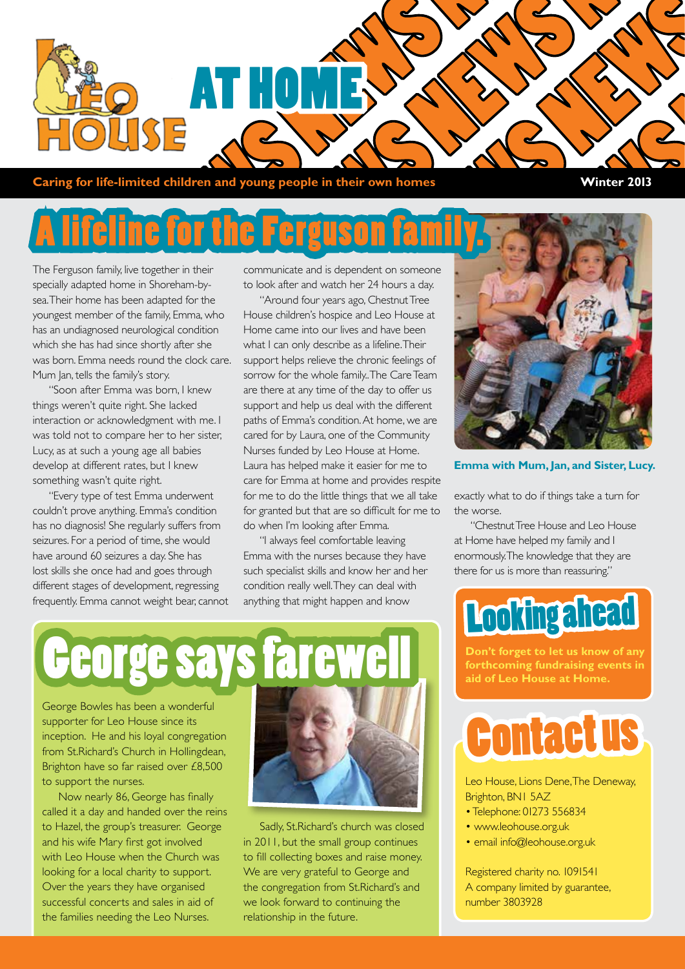

**Caring for life-limited children and young people in their own homes Winter 2013** 

### **Hifeline for the Ferguson**

The Ferguson family, live together in their specially adapted home in Shoreham-bysea. Their home has been adapted for the youngest member of the family, Emma, who has an undiagnosed neurological condition which she has had since shortly after she was born. Emma needs round the clock care. Mum Jan, tells the family's story.

"Soon after Emma was born, I knew things weren't quite right. She lacked interaction or acknowledgment with me. I was told not to compare her to her sister, Lucy, as at such a young age all babies develop at different rates, but I knew something wasn't quite right.

"Every type of test Emma underwent couldn't prove anything. Emma's condition has no diagnosis! She regularly suffers from seizures. For a period of time, she would have around 60 seizures a day. She has lost skills she once had and goes through different stages of development, regressing frequently. Emma cannot weight bear, cannot communicate and is dependent on someone to look after and watch her 24 hours a day.

"Around four years ago, Chestnut Tree House children's hospice and Leo House at Home came into our lives and have been what I can only describe as a lifeline. Their support helps relieve the chronic feelings of sorrow for the whole family.. The Care Team are there at any time of the day to offer us support and help us deal with the different paths of Emma's condition. At home, we are cared for by Laura, one of the Community Nurses funded by Leo House at Home. Laura has helped make it easier for me to care for Emma at home and provides respite for me to do the little things that we all take for granted but that are so difficult for me to do when I'm looking after Emma.

"I always feel comfortable leaving Emma with the nurses because they have such specialist skills and know her and her condition really well. They can deal with anything that might happen and know



**Emma with Mum, Jan, and Sister, Lucy.**

exactly what to do if things take a turn for the worse.

"Chestnut Tree House and Leo House at Home have helped my family and I enormously. The knowledge that they are there for us is more than reassuring."

### Looking ahead

**Don't forget to let us know of any forthcoming fundraising events in aid of Leo House at Home.**



Leo House, Lions Dene, The Deneway, Brighton, BN1 5AZ

- Telephone: 01273 556834
- www.leohouse.org.uk
- email info@leohouse.org.uk

Registered charity no. 1091541 A company limited by guarantee, number 3803928

# ge sa

George Bowles has been a wonderful supporter for Leo House since its inception. He and his loyal congregation from St.Richard's Church in Hollingdean, Brighton have so far raised over £8,500 to support the nurses.

Now nearly 86, George has finally called it a day and handed over the reins to Hazel, the group's treasurer. George and his wife Mary first got involved with Leo House when the Church was looking for a local charity to support. Over the years they have organised successful concerts and sales in aid of the families needing the Leo Nurses.



Sadly, St.Richard's church was closed in 2011, but the small group continues to fill collecting boxes and raise money. We are very grateful to George and the congregation from St.Richard's and we look forward to continuing the relationship in the future.